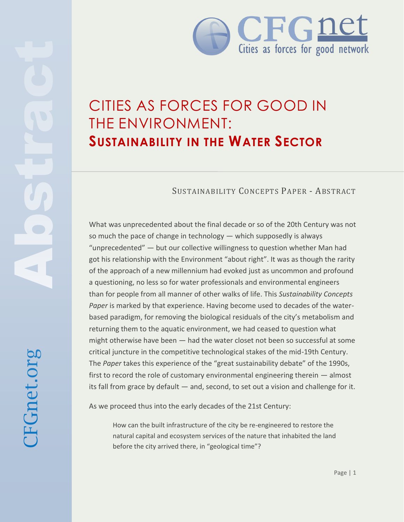

## CITIES AS FORCES FOR GOOD IN THE ENVIRONMENT: **SUSTAINABILITY IN THE WATER SECTOR**

## SUSTAINABILITY CONCEPTS PAPER - ABSTRACT

What was unprecedented about the final decade or so of the 20th Century was not so much the pace of change in technology — which supposedly is always "unprecedented" — but our collective willingness to question whether Man had got his relationship with the Environment "about right". It was as though the rarity of the approach of a new millennium had evoked just as uncommon and profound a questioning, no less so for water professionals and environmental engineers than for people from all manner of other walks of life. This *Sustainability Concepts Paper* is marked by that experience. Having become used to decades of the waterbased paradigm, for removing the biological residuals of the city's metabolism and returning them to the aquatic environment, we had ceased to question what might otherwise have been — had the water closet not been so successful at some critical juncture in the competitive technological stakes of the mid-19th Century. The *Paper* takes this experience of the "great sustainability debate" of the 1990s, first to record the role of customary environmental engineering therein — almost its fall from grace by default — and, second, to set out a vision and challenge for it.

As we proceed thus into the early decades of the 21st Century:

How can the built infrastructure of the city be re-engineered to restore the natural capital and ecosystem services of the nature that inhabited the land before the city arrived there, in "geological time"?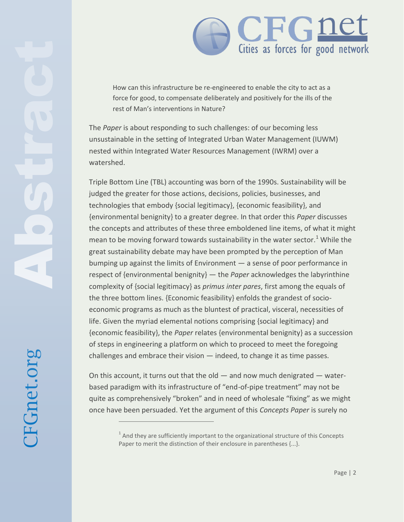

How can this infrastructure be re-engineered to enable the city to act as a force for good, to compensate deliberately and positively for the ills of the rest of Man's interventions in Nature?

The *Paper* is about responding to such challenges: of our becoming less unsustainable in the setting of Integrated Urban Water Management (IUWM) nested within Integrated Water Resources Management (IWRM) over a watershed.

Triple Bottom Line (TBL) accounting was born of the 1990s. Sustainability will be judged the greater for those actions, decisions, policies, businesses, and technologies that embody {social legitimacy}, {economic feasibility}, and {environmental benignity} to a greater degree. In that order this *Paper* discusses the concepts and attributes of these three emboldened line items, of what it might mean to be moving forward towards sustainability in the water sector.<sup>1</sup> While the great sustainability debate may have been prompted by the perception of Man bumping up against the limits of Environment — a sense of poor performance in respect of {environmental benignity} — the *Paper* acknowledges the labyrinthine complexity of {social legitimacy} as *primus inter pares*, first among the equals of the three bottom lines. {Economic feasibility} enfolds the grandest of socioeconomic programs as much as the bluntest of practical, visceral, necessities of life. Given the myriad elemental notions comprising {social legitimacy} and {economic feasibility}, the *Paper* relates {environmental benignity} as a succession of steps in engineering a platform on which to proceed to meet the foregoing challenges and embrace their vision — indeed, to change it as time passes.

On this account, it turns out that the old — and now much denigrated — waterbased paradigm with its infrastructure of "end-of-pipe treatment" may not be quite as comprehensively "broken" and in need of wholesale "fixing" as we might once have been persuaded. Yet the argument of this *Concepts Paper* is surely no



 $\overline{a}$ 

 $^1$  And they are sufficiently important to the organizational structure of this Concepts Paper to merit the distinction of their enclosure in parentheses {...}.